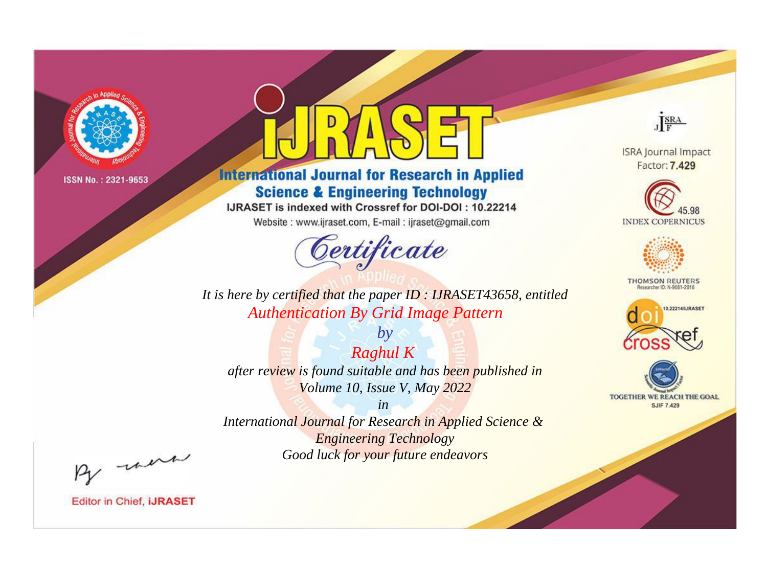

# **International Journal for Research in Applied Science & Engineering Technology**

IJRASET is indexed with Crossref for DOI-DOI: 10.22214

Website: www.ijraset.com, E-mail: ijraset@gmail.com



JERA

**ISRA Journal Impact** Factor: 7.429





**THOMSON REUTERS** 



TOGETHER WE REACH THE GOAL **SJIF 7.429** 

It is here by certified that the paper ID: IJRASET43658, entitled **Authentication By Grid Image Pattern** 

**Raghul K** after review is found suitable and has been published in Volume 10, Issue V, May 2022

 $by$ 

 $in$ International Journal for Research in Applied Science & **Engineering Technology** Good luck for your future endeavors

By morn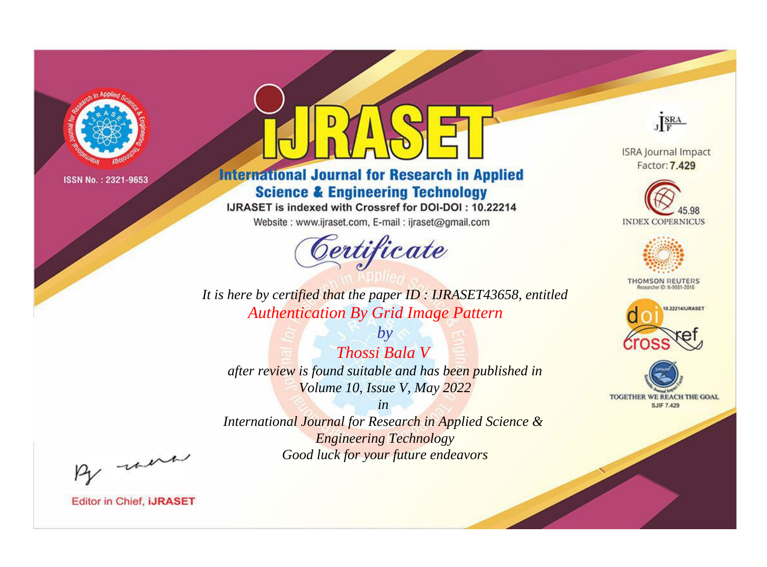

# **International Journal for Research in Applied Science & Engineering Technology**

IJRASET is indexed with Crossref for DOI-DOI: 10.22214

Website: www.ijraset.com, E-mail: ijraset@gmail.com



JERA

**ISRA Journal Impact** Factor: 7.429





**THOMSON REUTERS** 



TOGETHER WE REACH THE GOAL **SJIF 7.429** 

It is here by certified that the paper ID: IJRASET43658, entitled **Authentication By Grid Image Pattern** 

 $b\nu$ Thossi Bala V after review is found suitable and has been published in Volume 10, Issue V, May 2022

 $in$ International Journal for Research in Applied Science & **Engineering Technology** Good luck for your future endeavors

By morn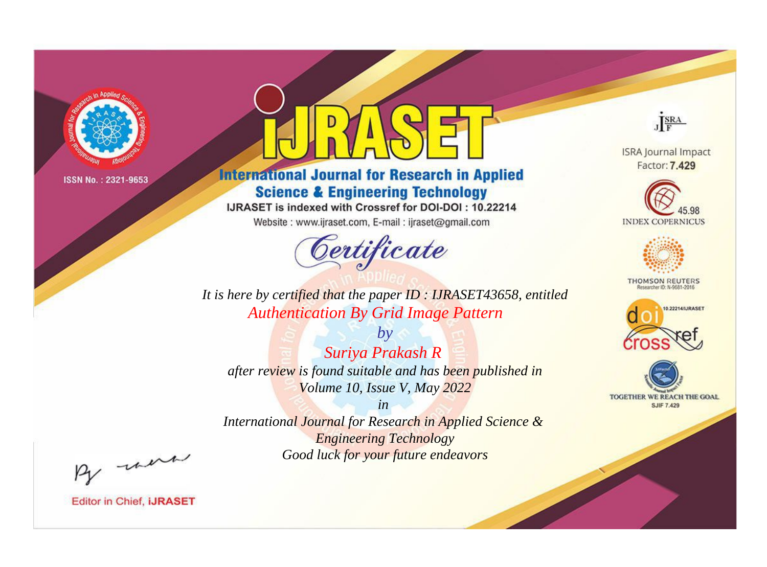

# **International Journal for Research in Applied Science & Engineering Technology**

IJRASET is indexed with Crossref for DOI-DOI: 10.22214

Website: www.ijraset.com, E-mail: ijraset@gmail.com



JERA

**ISRA Journal Impact** Factor: 7.429





**THOMSON REUTERS** 



TOGETHER WE REACH THE GOAL **SJIF 7.429** 

*It is here by certified that the paper ID : IJRASET43658, entitled Authentication By Grid Image Pattern*

*by Suriya Prakash R after review is found suitable and has been published in Volume 10, Issue V, May 2022*

*in* 

*International Journal for Research in Applied Science & Engineering Technology Good luck for your future endeavors*

By morn